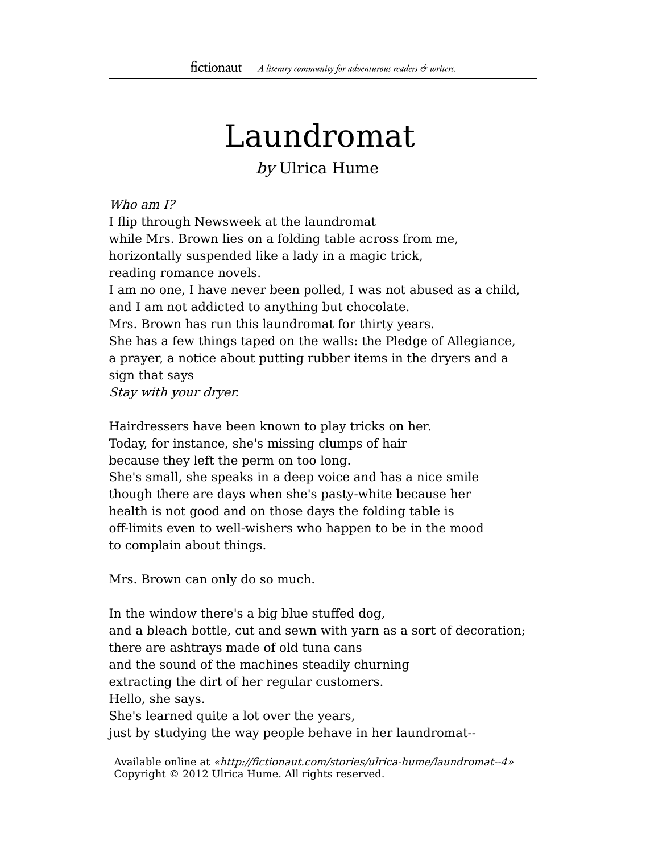## Laundromat

## by Ulrica Hume

## Who am I?

I flip through Newsweek at the laundromat while Mrs. Brown lies on a folding table across from me, horizontally suspended like a lady in a magic trick, reading romance novels. I am no one, I have never been polled, I was not abused as a child, and I am not addicted to anything but chocolate. Mrs. Brown has run this laundromat for thirty years. She has a few things taped on the walls: the Pledge of Allegiance, a prayer, a notice about putting rubber items in the dryers and a sign that says Stay with your dryer.

Hairdressers have been known to play tricks on her. Today, for instance, she's missing clumps of hair because they left the perm on too long. She's small, she speaks in a deep voice and has a nice smile though there are days when she's pasty-white because her health is not good and on those days the folding table is off-limits even to well-wishers who happen to be in the mood to complain about things.

Mrs. Brown can only do so much.

In the window there's a big blue stuffed dog, and a bleach bottle, cut and sewn with yarn as a sort of decoration; there are ashtrays made of old tuna cans and the sound of the machines steadily churning extracting the dirt of her regular customers. Hello, she says. She's learned quite a lot over the years,

just by studying the way people behave in her laundromat--

Available online at «http://fictionaut.com/stories/ulrica-hume/laundromat--4» Copyright © 2012 Ulrica Hume. All rights reserved.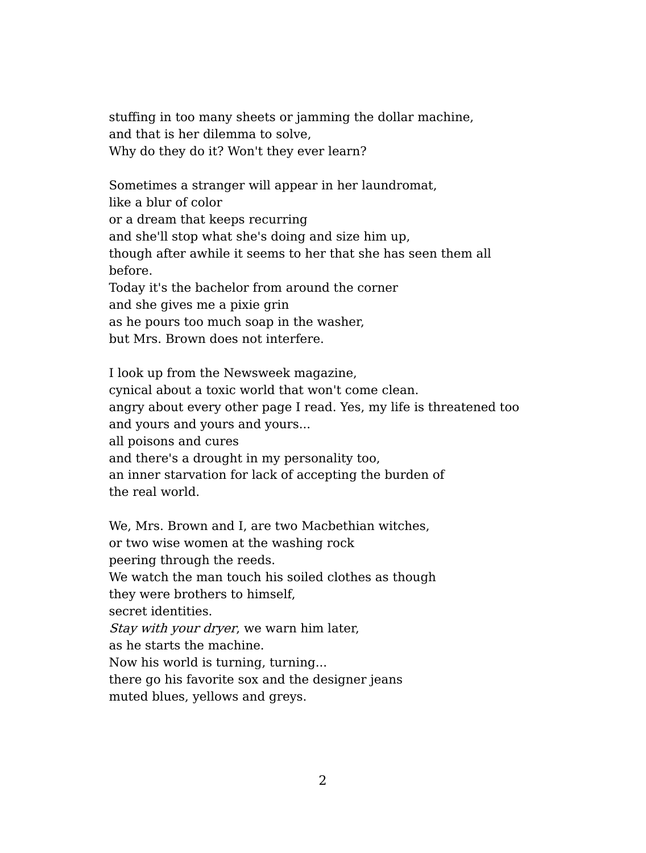stuffing in too many sheets or jamming the dollar machine, and that is her dilemma to solve, Why do they do it? Won't they ever learn?

Sometimes a stranger will appear in her laundromat, like a blur of color or a dream that keeps recurring and she'll stop what she's doing and size him up, though after awhile it seems to her that she has seen them all before. Today it's the bachelor from around the corner and she gives me a pixie grin as he pours too much soap in the washer, but Mrs. Brown does not interfere.

I look up from the Newsweek magazine, cynical about a toxic world that won't come clean. angry about every other page I read. Yes, my life is threatened too and yours and yours and yours... all poisons and cures and there's a drought in my personality too, an inner starvation for lack of accepting the burden of the real world.

We, Mrs. Brown and I, are two Macbethian witches, or two wise women at the washing rock peering through the reeds. We watch the man touch his soiled clothes as though they were brothers to himself, secret identities. Stay with your dryer, we warn him later, as he starts the machine. Now his world is turning, turning... there go his favorite sox and the designer jeans muted blues, yellows and greys.